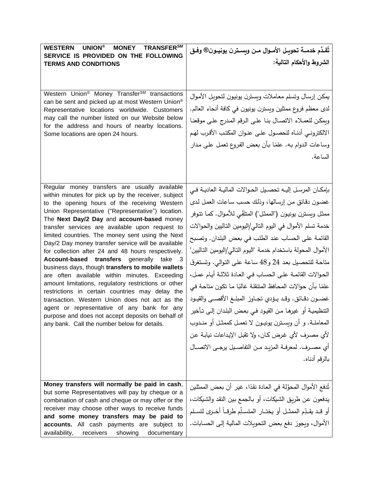| WESTERN UNION®<br>MONEY TRANSFERSM<br>SERVICE IS PROVIDED ON THE FOLLOWING<br><b>TERMS AND CONDITIONS</b>                                                                                                                                                                                                                                                                                                                                                                                                                                                                                                                                                                                                                                                                                                                                                                                                                                           | تُقدَّم خدمــــة تحويـــل الأمــوال مــن ويســترن يونيــون® وفــق<br>الشروط والأحكام التالية:                                                                                                                                                                                                                                                                                                                                                                                                                                                                                                                                                                                                                                                                                                                                                                                              |
|-----------------------------------------------------------------------------------------------------------------------------------------------------------------------------------------------------------------------------------------------------------------------------------------------------------------------------------------------------------------------------------------------------------------------------------------------------------------------------------------------------------------------------------------------------------------------------------------------------------------------------------------------------------------------------------------------------------------------------------------------------------------------------------------------------------------------------------------------------------------------------------------------------------------------------------------------------|--------------------------------------------------------------------------------------------------------------------------------------------------------------------------------------------------------------------------------------------------------------------------------------------------------------------------------------------------------------------------------------------------------------------------------------------------------------------------------------------------------------------------------------------------------------------------------------------------------------------------------------------------------------------------------------------------------------------------------------------------------------------------------------------------------------------------------------------------------------------------------------------|
| Western Union <sup>®</sup> Money Transfer <sup>SM</sup> transactions<br>can be sent and picked up at most Western Union®<br>Representative locations worldwide. Customers<br>may call the number listed on our Website below<br>for the address and hours of nearby locations.<br>Some locations are open 24 hours.                                                                                                                                                                                                                                                                                                                                                                                                                                                                                                                                                                                                                                 | يمكن إرسال وتسلم معاملات ويسترن يونيون لتحويل الأموال<br>لدى معظم فروع ممثلين ويسترن يونيون في كافة أنحاء العالم.<br>وبِمكن للعملاء الاتصال بنا على الرقم المدرج على موقعنا<br>الالكتروني أدنـاه للحصـول علـى عنـوان المكتـب الأقـرب لهـم<br>وساعات الدوام بـه. علمًا بـأن بعض الفروع تعمل علـى مدار<br>الساعة.                                                                                                                                                                                                                                                                                                                                                                                                                                                                                                                                                                            |
| Regular money transfers are usually available<br>within minutes for pick up by the receiver, subject<br>to the opening hours of the receiving Western<br>Union Representative ("Representative") location.<br>The Next Day/2 Day and account-based money<br>transfer services are available upon request to<br>limited countries. The money sent using the Next<br>Day/2 Day money transfer service will be available<br>for collection after 24 and 48 hours respectively.<br>Account-based transfers generally take<br>- 3<br>business days, though transfers to mobile wallets<br>are often available within minutes. Exceeding<br>amount limitations, regulatory restrictions or other<br>restrictions in certain countries may delay the<br>transaction. Western Union does not act as the<br>agent or representative of any bank for any<br>purpose and does not accept deposits on behalf of<br>any bank. Call the number below for details. | بإمكان المرسل إليـه تحصـيل الحـوالات الماليـة العاديـة فـي<br>غضون دقائق من إرسالها، وذلك حسب ساعات العمل لدى<br>ممثل ويسترن يونيون  ("الممثل") المتلقِّي للأموال. كمـا تتوفر<br>خدمة تسلم الأموال في اليوم التالي/اليومين التاليين والحوالات<br>القائمة على الحساب عند الطلب في بعض البلدان. وتصبح<br>الأموال المحولة باستخدام خدمة "اليوم التالي/اليومين التاليين"<br>متاحة للتحصيل بعد 24 و48 ساعة على التوالي. وتستغرق<br>الحوالات القائمــة علــى الحسـاب فــى العـادة ثلاثـة أيـام عمـل،<br>علمًا بأن حوالات المحافظ المتنقلة غالبًا ما تكون متاحة في<br>غضـون دقـائق. وقـد يـؤدي تجـاوز المبلــغ الأقصــي والقيـود<br>التتظيمية أو غيرهـا مـن القيـود فـي بعـض البلـدان إلـي تـأخير<br>المعاملـة. و أن ويسـترن يونيـون لا تعمـل كممثـل أو منـدوب<br>لأي مصرف لأي غرض كان، ولا تقبل الإيداعات نيابـة عن<br>أي مصـرف. لمعرفــة المزيـد مـن التفاصـيل يرجـى الاتصــال<br>بالرقم أدناه. |
| Money transfers will normally be paid in cash,<br>but some Representatives will pay by cheque or a<br>combination of cash and cheque or may offer or the<br>receiver may choose other ways to receive funds<br>and some money transfers may be paid to<br>accounts. All cash payments are subject to<br>availability,<br>receivers<br>showing<br>documentary                                                                                                                                                                                                                                                                                                                                                                                                                                                                                                                                                                                        | تُدفع الأموال المحوَّلة في العادة نقدًا، غير أن بعض الممثلين<br>يدفعون عن طريق الشيكات، أو بالجمع بين النقد والشيكات،<br>أو قـد يقـدِّم الممثــل أو يختــار المتسـلِّم طرقــاً أخــرى لتســلم<br>الأموال، ويجوز دفع بعض التحويلات المالية إلى الحسابات.                                                                                                                                                                                                                                                                                                                                                                                                                                                                                                                                                                                                                                    |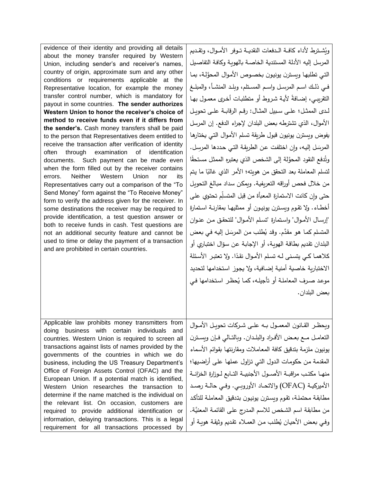| evidence of their identity and providing all details<br>about the money transfer required by Western<br>Union, including sender's and receiver's names,<br>country of origin, approximate sum and any other<br>conditions or requirements applicable at the<br>Representative location, for example the money<br>transfer control number, which is mandatory for<br>payout in some countries. The sender authorizes<br>Western Union to honor the receiver's choice of<br>method to receive funds even if it differs from<br>the sender's. Cash money transfers shall be paid<br>to the person that Representatives deem entitled to<br>receive the transaction after verification of identity<br>of<br>through<br>examination<br>identification<br>often<br>documents. Such payment can be made even<br>when the form filled out by the receiver contains<br>Neither<br>Western<br>Union<br>errors.<br>nor<br>its<br>Representatives carry out a comparison of the "To<br>Send Money" form against the "To Receive Money"<br>form to verify the address given for the receiver. In<br>some destinations the receiver may be required to<br>provide identification, a test question answer or<br>both to receive funds in cash. Test questions are<br>not an additional security feature and cannot be<br>used to time or delay the payment of a transaction<br>and are prohibited in certain countries. | ونُشترط لأداء كافــة الــدفعات النقديــة تــوفر  الأمــوال، وتقـديم<br>المرسل إليه الأدلة المستندية الخاصة بالهوبة وكافة التفاصيل<br>التي تطلبها ويسترن يونيون بخصوص الأموال المحوَّلة، بما<br>فـي ذلـك اسـم المرسـل واسـم المسـتلم، وبِلـد المنشـأ، والمبلــغ<br>التقريبي، إضـافةً لأيـة شـروط أو متطلبـات أخـرى معمـول بهـا<br>لدى الممثل؛ علـى سبيل المثـال: رقـم الرقابــة علـى تحويـل<br>الأموال، الذي تشترطه بعض البلدان لإجراء الدفع. إن المرسل<br>يفوض ويسترن يونيون قبول طريقة تسلم الأموال التى يختارها<br>المرسَل إليه، وإن اختلفت عن الطريقة التي حددها المرسل.<br>وتُدفع النقود المحوَّلة إلى الشخص الذي يعتبره الممثل مستحقًا<br>لتسلم المعاملة بعد التحقق من هويته؛ الأمر الذي غالبًا ما يتم<br>من خلال فحص أوراقه التعريفية. ويمكن سداد مبالغ التحويل<br>حتى وإن كانت الاستمارة المعبأة من قِبل المتسلِّم تحتوي على<br>أخطـاء . ولا تقوم ويسـترن يونيـون أو ممثليهـا بمقارنـة اسـتمارة<br>"إرسـال الأمـوال" واسـتمارة "تسـلم الأمـوال" للتحقـق مـن عنـوان<br>المتسلم كما هو مقدَّم. وقد يُطلب من المرسَل إليه في بعض<br>البلدان تقديم بطاقة الهوية، أو الإجابة عن سؤال اختباري أو<br>كلاهمـا كـي يتسنى لـه تسلم الأمـوال نقدًا. ولا تعتبـر الأسئلة<br>الاختبارية خاصية أمنية إضافية، ولا يجوز استخدامها لتحديد<br>موعد صرف المعاملة أو تأجيله، كما يُحظر استخدامها في<br>بعض البلدان. |
|----------------------------------------------------------------------------------------------------------------------------------------------------------------------------------------------------------------------------------------------------------------------------------------------------------------------------------------------------------------------------------------------------------------------------------------------------------------------------------------------------------------------------------------------------------------------------------------------------------------------------------------------------------------------------------------------------------------------------------------------------------------------------------------------------------------------------------------------------------------------------------------------------------------------------------------------------------------------------------------------------------------------------------------------------------------------------------------------------------------------------------------------------------------------------------------------------------------------------------------------------------------------------------------------------------------------------------------------------------------------------------------------------------|-------------------------------------------------------------------------------------------------------------------------------------------------------------------------------------------------------------------------------------------------------------------------------------------------------------------------------------------------------------------------------------------------------------------------------------------------------------------------------------------------------------------------------------------------------------------------------------------------------------------------------------------------------------------------------------------------------------------------------------------------------------------------------------------------------------------------------------------------------------------------------------------------------------------------------------------------------------------------------------------------------------------------------------------------------------------------------------------------------------------------------------------------------------------------------------------------------------------------------------------------------------------------------------------------------|
| Applicable law prohibits money transmitters from<br>business with certain individuals<br>doing<br>and<br>countries. Western Union is required to screen all<br>transactions against lists of names provided by the<br>governments of the countries in which we do<br>business, including the US Treasury Department's<br>Office of Foreign Assets Control (OFAC) and the<br>European Union. If a potential match is identified,<br>Western Union researches the transaction to<br>determine if the name matched is the individual on<br>the relevant list. On occasion, customers are<br>required to provide additional identification or<br>information, delaying transactions. This is a legal<br>requirement for all transactions processed by                                                                                                                                                                                                                                                                                                                                                                                                                                                                                                                                                                                                                                                        | ويحظـر القـانون المعمـول بــه علــى شـركات تحويـل الأمـوال<br>التعامـل مـع بعـض الأفـراد والبلـدان. وبالتـالي فـإن ويسـترن<br>يونيون ملزمة بتدقيق كافة المعاملات ومقارنتها بقوائم الأسماء<br>المقدمة من حكومات الدول التي تزاول عملها على أراضيها؛<br>منهـا مكتـب مراقبــة الأصــول الأجنبيــة التــابـع لــوزارة الـخزانــة<br>الأميركيــة (OFAC) والاتحــاد الأوروبــي. وفــي حالــة رصــد<br>مطابقة محتملة، تقوم ويسترن يونيون بتدقيق المعاملة للتأكد<br>من مطابقة اسم الشخص للاسم المدرج على القائمة المعنيَّة.<br>وفي بعض الأحيان يُطلب من العملاء تقديم وثيقة هويـة أو                                                                                                                                                                                                                                                                                                                                                                                                                                                                                                                                                                                                                                                                                                                          |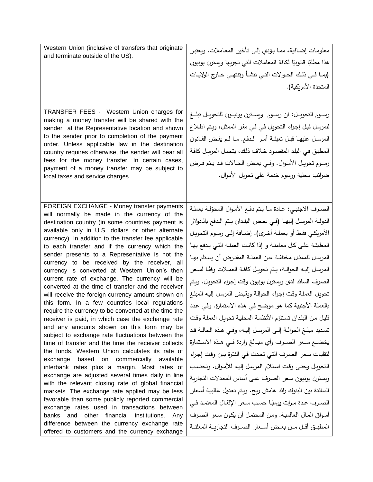| Western Union (inclusive of transfers that originate<br>and terminate outside of the US).                                                                                                                                                                                                                                                                                                                                                                                                                                                                                                                                                                                                                                                                                                                                                                                                                                                                                                                   | معلومات إضافية، مما يؤدي إلى تأخير المعاملات. ويعتبر<br>هذا مطلبًا قانونيًا لكافة المعاملات التي تجربها ويسترن يونيون<br>(بمــا فــي ذلـك الـحـوالات التــي تتشــأ وتتتهــي خــارج الولايــات<br>المتحدة الأمريكية).                                                                                                                                                                                                                                                                                                                                                                                                                                                                                                                                                                           |
|-------------------------------------------------------------------------------------------------------------------------------------------------------------------------------------------------------------------------------------------------------------------------------------------------------------------------------------------------------------------------------------------------------------------------------------------------------------------------------------------------------------------------------------------------------------------------------------------------------------------------------------------------------------------------------------------------------------------------------------------------------------------------------------------------------------------------------------------------------------------------------------------------------------------------------------------------------------------------------------------------------------|------------------------------------------------------------------------------------------------------------------------------------------------------------------------------------------------------------------------------------------------------------------------------------------------------------------------------------------------------------------------------------------------------------------------------------------------------------------------------------------------------------------------------------------------------------------------------------------------------------------------------------------------------------------------------------------------------------------------------------------------------------------------------------------------|
| TRANSFER FEES - Western Union charges for<br>making a money transfer will be shared with the<br>sender at the Representative location and shown<br>to the sender prior to completion of the payment<br>order. Unless applicable law in the destination<br>country requires otherwise, the sender will bear all<br>fees for the money transfer. In certain cases,<br>payment of a money transfer may be subject to<br>local taxes and service charges.                                                                                                                                                                                                                                                                                                                                                                                                                                                                                                                                                       | رسوم التحويـل: ان رسـوم ويسـترن يونيـون للتحويـل تبلــغ<br>للمرسِل قبل إجراء التحويل في في مقر الممثل، ويتم اطلاع<br>المرسِل عليها قبل تعبئـة أمـر الـدفع. مـا لـم يقضِ القـانون<br>المطبق في البلد المقصود خلاف ذلك، يتحمل المرسِل كافة<br>رسوم تحويل الأمـوال. وفـي بعـض الحـالات قـد يـتم فـرض<br>ضرائب محلية ورسوم خدمة على تحويل الأموال.                                                                                                                                                                                                                                                                                                                                                                                                                                                 |
| FOREIGN EXCHANGE - Money transfer payments<br>will normally be made in the currency of the<br>destination country (in some countries payment is<br>available only in U.S. dollars or other alternate<br>currency). In addition to the transfer fee applicable<br>to each transfer and if the currency which the<br>sender presents to a Representative is not the<br>currency to be received by the receiver, all<br>currency is converted at Western Union's then<br>current rate of exchange. The currency will be<br>converted at the time of transfer and the receiver<br>will receive the foreign currency amount shown on<br>this form. In a few countries local regulations<br>require the currency to be converted at the time the<br>receiver is paid, in which case the exchange rate<br>and any amounts shown on this form may be<br>subject to exchange rate fluctuations between the<br>time of transfer and the time the receiver collects<br>the funds. Western Union calculates its rate of | الصرف الأجنبي: عادة ما يتم دفع الأموال المحوّلة بعملة<br>الدولة المرسل إليها (في بعض البلدان يتم الدفع بالدولار<br>الأمريكي فقط أو بعملـة أخرى). إضـافة إلـى رسـوم التحويـل<br>المطبقة على كل معاملة و إذا كانت العملة التي يدفع بها<br>المرسل للممثل مختلفة عن العملة المفترض أن يستلم بها<br>المرسل إليه الحوالـة، يتم تحويل كافـة العمـلات وفقًـا لسـعر<br>الصرف السائد لدى ويسترن يونيون وقت إجراء التحويل. ويتم<br>تحويل العملة وقت إجراء الحوالة ويقبض المرسل إليه المبلغ<br>بالعملة الأجنبية كما هو موضح في هذه الاستمارة. وفي عدد<br>قليل من البلدان تستلزم الأنظمة المحلية تحويل العملة وقت<br>تسديد مبلـغ الحوالــة إلــى المرسـل إليــه، وفــى هـذه الحالــة قـد<br>يخضـع سـعر  الصـرف وأي مبـالـغ واردة فـي هـذه الاسـتمارة<br>لتقلبات سعر الصرف التي تحدث في الفترة بين وقت إجراء |
| based on commercially<br>available<br>exchange<br>interbank rates plus a margin. Most rates of<br>exchange are adjusted several times daily in line<br>with the relevant closing rate of global financial<br>markets. The exchange rate applied may be less<br>favorable than some publicly reported commercial<br>exchange rates used in transactions between<br>and other financial institutions.<br>banks<br>Any<br>difference between the currency exchange rate<br>offered to customers and the currency exchange                                                                                                                                                                                                                                                                                                                                                                                                                                                                                      | التحويـل وحتـى وقت استلام المرسـل إليـه للأمـوال. وتحتسب<br>ويسترن يونيون سعر الصرف على أساس المعدلات التجاربة<br>السائدة بين البنوك زائد هامش ربح. ويتم تعديل غالبية أسعار<br>الصرف عدة مرات يوميًا حسب سعر الإقفال المعتمد في<br>أسواق المال العالمية. ومن المحتمل أن يكون سعر الصرف<br>المطبـق أقـل مـن بعـض أسـعار الصـرف التجاربــة المعلنــة                                                                                                                                                                                                                                                                                                                                                                                                                                             |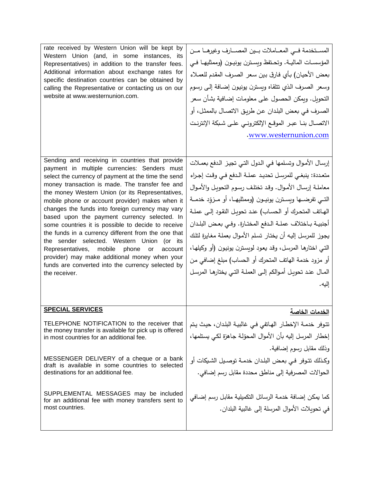| rate received by Western Union will be kept by<br>Western Union (and, in some instances, its<br>Representatives) in addition to the transfer fees.<br>Additional information about exchange rates for<br>specific destination countries can be obtained by<br>calling the Representative or contacting us on our<br>website at www.westernunion.com.                                                                                                                                                                                                                                                                                                                                                                                                  | المسـتخدمة فــي المعــاملات بــين المصـــارف وغيرهــا مــن<br>المؤسسات الماليـة. وتحـتفظ ويسـترن يونيـون (وممثليهـا فـي<br>بعض الأحيان) بأي فارق بين سعر الصرف المقدم للعملاء<br>وسعر الصرف الذي نتلقاه ويسترن يونيون إضافة إلى رسوم<br>التحويل. ويمكن الحصول على معلومات إضافية بشأن سعر<br>الصرف في بعض البلدان عن طريق الاتصال بالممثل، أو<br>الاتصــال بنــا عبـر الموقــع الإلكترونــى علــى شـبكة الإنترنـت<br>.www.westernunion.com                                                                                                                                                                                              |
|-------------------------------------------------------------------------------------------------------------------------------------------------------------------------------------------------------------------------------------------------------------------------------------------------------------------------------------------------------------------------------------------------------------------------------------------------------------------------------------------------------------------------------------------------------------------------------------------------------------------------------------------------------------------------------------------------------------------------------------------------------|-----------------------------------------------------------------------------------------------------------------------------------------------------------------------------------------------------------------------------------------------------------------------------------------------------------------------------------------------------------------------------------------------------------------------------------------------------------------------------------------------------------------------------------------------------------------------------------------------------------------------------------------|
|                                                                                                                                                                                                                                                                                                                                                                                                                                                                                                                                                                                                                                                                                                                                                       |                                                                                                                                                                                                                                                                                                                                                                                                                                                                                                                                                                                                                                         |
| Sending and receiving in countries that provide<br>payment in multiple currencies: Senders must<br>select the currency of payment at the time the send<br>money transaction is made. The transfer fee and<br>the money Western Union (or its Representatives,<br>mobile phone or account provider) makes when it<br>changes the funds into foreign currency may vary<br>based upon the payment currency selected. In<br>some countries it is possible to decide to receive<br>the funds in a currency different from the one that<br>the sender selected. Western Union<br>(or its<br>Representatives, mobile phone or account<br>provider) may make additional money when your<br>funds are converted into the currency selected by<br>the receiver. | إرسال الأموال وتسلمها في الدول التي تجيز الدفع بعملات<br>متعددة: ينبغـي للمرسِـل تحديـد عملـة الـدفع فـي وقت إجـراء<br>معاملـة إرسـال الأمـوال. وقد تختلف رسوم التحويـل والأمـوال<br>التــي تفرضــها ويســترن يونيــون (وممثليهــا، أو مــزوّد خدمــة<br>الهـاتف المتحـرك أو الـحسـاب) عنـد تحويـل النقـود إلـى عملـة<br>أجنبيـة بـاختلاف عملـة الـدفع المختـارة. وفـي بعـض البلـدان<br>يجوز للمرسل إليه أن يختار تسلم الأموال بعملة مغايرة لتلك<br>التي اختارها المرسل، وقد يعود لويسترن يونيون (أو وكيلها،<br>أو مزود خدمة الهاتف المتحرك أو الحساب) مبلغ إضافي من<br>المال عند تحويل أموالكم إلى العملة التي يختارها المرسل<br>إليه. |
| <b>SPECIAL SERVICES</b>                                                                                                                                                                                                                                                                                                                                                                                                                                                                                                                                                                                                                                                                                                                               |                                                                                                                                                                                                                                                                                                                                                                                                                                                                                                                                                                                                                                         |
|                                                                                                                                                                                                                                                                                                                                                                                                                                                                                                                                                                                                                                                                                                                                                       | الخدمات الخاصة                                                                                                                                                                                                                                                                                                                                                                                                                                                                                                                                                                                                                          |
| TELEPHONE NOTIFICATION to the receiver that<br>the money transfer is available for pick up is offered                                                                                                                                                                                                                                                                                                                                                                                                                                                                                                                                                                                                                                                 | تتوفر خدمـة الإخطـار الهـاتفي فـي غالبيـة البلدان، حيث يـتم                                                                                                                                                                                                                                                                                                                                                                                                                                                                                                                                                                             |
| in most countries for an additional fee.                                                                                                                                                                                                                                                                                                                                                                                                                                                                                                                                                                                                                                                                                                              | إخطار المرسل إليه بأن الأموال المحوّلة جاهزة لكي يستلمها،                                                                                                                                                                                                                                                                                                                                                                                                                                                                                                                                                                               |
| MESSENGER DELIVERY of a cheque or a bank                                                                                                                                                                                                                                                                                                                                                                                                                                                                                                                                                                                                                                                                                                              | وذلك مقابل رسوم إضافية.                                                                                                                                                                                                                                                                                                                                                                                                                                                                                                                                                                                                                 |
| draft is available in some countries to selected                                                                                                                                                                                                                                                                                                                                                                                                                                                                                                                                                                                                                                                                                                      | وكذلك نتوفر في بعض البلدان خدمـة توصـيل الشـيكات أو                                                                                                                                                                                                                                                                                                                                                                                                                                                                                                                                                                                     |
| destinations for an additional fee.                                                                                                                                                                                                                                                                                                                                                                                                                                                                                                                                                                                                                                                                                                                   | الحوالات المصرفية إلى مناطق محددة مقابل رسم إضافي.                                                                                                                                                                                                                                                                                                                                                                                                                                                                                                                                                                                      |
| SUPPLEMENTAL MESSAGES may be included                                                                                                                                                                                                                                                                                                                                                                                                                                                                                                                                                                                                                                                                                                                 |                                                                                                                                                                                                                                                                                                                                                                                                                                                                                                                                                                                                                                         |
| for an additional fee with money transfers sent to<br>most countries.                                                                                                                                                                                                                                                                                                                                                                                                                                                                                                                                                                                                                                                                                 | كما يمكن إضافة خدمة الرسائل التكميلية مقابل رسم إضافي<br>في تحويلات الأموال المرسلة إلى غالبية البلدان.                                                                                                                                                                                                                                                                                                                                                                                                                                                                                                                                 |
|                                                                                                                                                                                                                                                                                                                                                                                                                                                                                                                                                                                                                                                                                                                                                       |                                                                                                                                                                                                                                                                                                                                                                                                                                                                                                                                                                                                                                         |
|                                                                                                                                                                                                                                                                                                                                                                                                                                                                                                                                                                                                                                                                                                                                                       |                                                                                                                                                                                                                                                                                                                                                                                                                                                                                                                                                                                                                                         |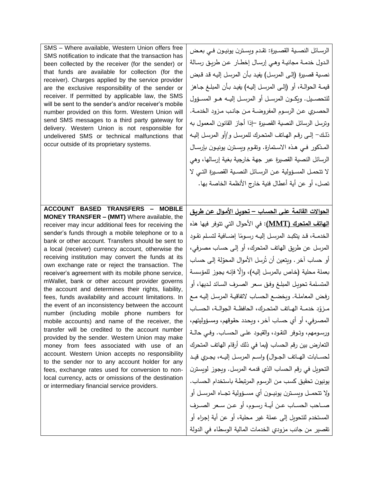SMS – Where available, Western Union offers free SMS notification to indicate that the transaction has been collected by the receiver (for the sender) or that funds are available for collection (for the receiver). Charges applied by the service provider are the exclusive responsibility of the sender or receiver. If permitted by applicable law, the SMS will be sent to the sender's and/or receiver's mobile number provided on this form. Western Union will send SMS messages to a third party gateway for delivery. Western Union is not responsible for undelivered SMS or technical malfunctions that occur outside of its proprietary systems.

**ACCOUNT BASED TRANSFERS – MOBILE MONEY TRANSFER – (MMT)** Where available, the receiver may incur additional fees for receiving the sender's funds through a mobile telephone or to a bank or other account. Transfers should be sent to a local (receiver) currency account, otherwise the receiving institution may convert the funds at its own exchange rate or reject the transaction. The receiver's agreement with its mobile phone service, mWallet, bank or other account provider governs the account and determines their rights, liability, fees, funds availability and account limitations. In the event of an inconsistency between the account number (including mobile phone numbers for mobile accounts) and name of the receiver, the transfer will be credited to the account number provided by the sender. Western Union may make money from fees associated with use of an account. Western Union accepts no responsibility to the sender nor to any account holder for any fees, exchange rates used for conversion to nonlocal currency, acts or omissions of the destination or intermediary financial service providers.

الرسائل النصية القصيرة: تقدم ويسترن يونيون في بعض الدول خدمة مجانية وهي إرسال إخطار عن طربق رسالة نصبية قصيرة (إلى المرسل) يفيد بأن المرسل إليه قد قبض قيمـة الـحوالــة، أو (إلــى المرسـل إليــه) يفيـد بـأن المبلــغ جـاهز للتحصـيل. ويكــون المرســل أو المرســل إليـــه هــو المســؤول الحصري عن الرسوم المفروضة من جانب مزود الخدمـة. وترسل الرسائل النصية القصيرة –إذا أجاز القانون المعمول به ذلك– إلـى رقم الهـاتف المتحـرك للمرسـل و/أو المرسـل إليـه المذكور فـي هذه الاستمارة. وتقوم وبسترن يونيـون بإرسـال الرسائل النصية القصيرة عبر جهة خارجية بغية إرسالها، وهي لا تتحمل المسؤولية عن الرسائل النصية القصيرة التي لا تصل، أو عن أية أعطال فنية خارج الأنظمة الخاصة بها.

<u>الحوالات القائمة على الحساب – تحويل الأموال عن طريق</u> <mark>الهاتف المتحرك (MMT)</mark>: في الأحوال التي تتوفر فيها هذه الخدمـة، قـد يتكبـد المرسـل إليــه رسـومًا إضــافية لتسـلم نقـود المرسل عن طريق الهاتف المتحرك، أو إلى حساب مصرفي، أو حساب أخر . ويتعين أن تُرسل الأموال المحوّلة إلى حساب بعملة محلية (خاص بالمرسل إليه)، وإلَّا فإنه يجوز للمؤسسة المتسلمة تحويل المبلـغ وفـق سـعر الصـرف السـائد لـديها، أو رفض المعاملـة. ويخضـع الحساب لاتفاقيـة المرسل إليـه مـع مـزوّد خدمــة الهــاتف المتحـرك، الـحافظــة الجوالــة، الحســاب المصرفي، أو أي حساب آخر ، وبحدد حقوقهم، ومسؤوليتهم، ورسومهم، وتوفر النقود، والقيود على الحساب. وفي حالـة التعارض بين رقم الحساب (بما في ذلك أرقام الهاتف المتحرك لحسـابات الهـاتف الجـوال) واسـم المرسـل إليــه، يجـري قيـد التحويل في رقم الحساب الذي قدمه المرسل. وبجوز لوبسترن يونيون تحقيق كسب من الرسوم المرتبطة باستخدام الحساب. ولا تتحمــل وبســترن يونيـــون أي مســؤولية تجــاه المرســل أو صناحب الحساب عن أينة رسوم، أو عن سعر الصرف المستخدم للتحويل إلى عملة غير محلية، أو عن أية إجراء أو تقصير من جانب مزودي الخدمات المالية الوسطاء في الدولة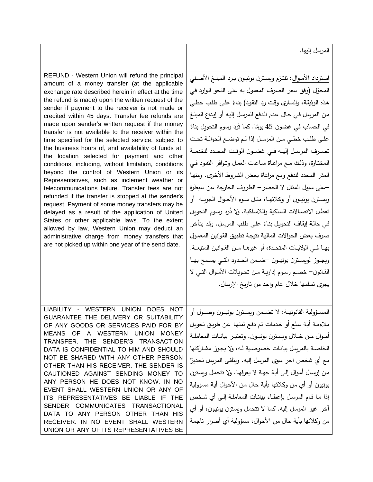|                                                                                                                                                                                                                                                                                                                                                                                                                                                                                                                                                                                                                                                                                                                                                                                                                                                                                                                                                                                                                                                                                                                                                                                          | المرسل إليها.                                                                                                                                                                                                                                                                                                                                                                                                                                                                                                                                                                                                                                                                                                                                                                                                                                                                                                                                                                                                                                                                                                         |
|------------------------------------------------------------------------------------------------------------------------------------------------------------------------------------------------------------------------------------------------------------------------------------------------------------------------------------------------------------------------------------------------------------------------------------------------------------------------------------------------------------------------------------------------------------------------------------------------------------------------------------------------------------------------------------------------------------------------------------------------------------------------------------------------------------------------------------------------------------------------------------------------------------------------------------------------------------------------------------------------------------------------------------------------------------------------------------------------------------------------------------------------------------------------------------------|-----------------------------------------------------------------------------------------------------------------------------------------------------------------------------------------------------------------------------------------------------------------------------------------------------------------------------------------------------------------------------------------------------------------------------------------------------------------------------------------------------------------------------------------------------------------------------------------------------------------------------------------------------------------------------------------------------------------------------------------------------------------------------------------------------------------------------------------------------------------------------------------------------------------------------------------------------------------------------------------------------------------------------------------------------------------------------------------------------------------------|
| REFUND - Western Union will refund the principal<br>amount of a money transfer (at the applicable<br>exchange rate described herein in effect at the time<br>the refund is made) upon the written request of the<br>sender if payment to the receiver is not made or<br>credited within 45 days. Transfer fee refunds are<br>made upon sender's written request if the money<br>transfer is not available to the receiver within the<br>time specified for the selected service, subject to<br>the business hours of, and availability of funds at,<br>the location selected for payment and other<br>conditions, including, without limitation, conditions<br>beyond the control of Western Union or its<br>Representatives, such as inclement weather or<br>telecommunications failure. Transfer fees are not<br>refunded if the transfer is stopped at the sender's<br>request. Payment of some money transfers may be<br>delayed as a result of the application of United<br>States or other applicable laws. To the extent<br>allowed by law, Western Union may deduct an<br>administrative charge from money transfers that<br>are not picked up within one year of the send date. | <u>استرداد الأمـوال</u> : تلتـزم ويسترن يونيـون بـرد المبلــغ الأصــلي<br>المحوّل (وفق سعر الصرف المعمول به على النحو الوارد في<br>هذه الوثيقة، والساري وقت رد النقود) بنـاءً علـى طلب خطـى<br>من المرسِل في حال عدم الدفع للمرسل إليه أو إيداع المبلغ<br>في الحساب في غضون 45 يومًا. كما تُرد رسوم التحويل بناءً<br>على طلب خطى من المرسل إذا لم توضع الحوالـة تحت<br>تصـرف المرسـل إليــه فــي غضــون الوقـت المحــدد للخدمــة<br>المختارة، وذلك مـع مراعـاة سـاعات العمـل وتـوافر النقود فـي<br>المقر المحدد للدفع ومع مراعاة بعض الشروط الأخرى. ومنها<br>–على سبيل المثال لا الحصر – الظروف الخارجة عن سيطرة<br>ويسترن يونيـون أو وكلائهـا؛ مثـل سـوءِ الأحـوال الـجويــة  أو<br>تعطل الاتصـالات السلكية واللاسلكية. ولا تُرد رسوم التحويل<br>في حالة إيقاف التحويل بناءً على طلب المرسل. وقد يتأخر<br>صرف بعض الحوالات المالية نتيجة تطبيق القوانين المعمول<br>بهــا فــى الولايــات المتحــدة، أو غيرهــا مــن القــوانين المتبعــة.<br>ويجـوز لويسـترن يونيـون –ضـمن الحـدود التـي يسـمح بهـا<br>القـانون– خصـم رسـوم إداريــة مـن تـحـويـلات الأمـوال التـي لا<br>يجري تسلمها خلال عام واحد من تاريخ الإرسال. |
| <b>UNION</b><br><b>DOES</b><br>LIABILITY<br><b>WESTERN</b><br><b>NOT</b><br>$\overline{\phantom{a}}$<br>GUARANTEE THE DELIVERY OR SUITABILITY<br>OF ANY GOODS OR SERVICES PAID FOR BY<br>MEANS OF A WESTERN UNION MONEY<br>TRANSFER. THE SENDER'S TRANSACTION<br>DATA IS CONFIDENTIAL TO HIM AND SHOULD<br>NOT BE SHARED WITH ANY OTHER PERSON<br>OTHER THAN HIS RECEIVER. THE SENDER IS<br>CAUTIONED AGAINST SENDING MONEY TO<br>ANY PERSON HE DOES NOT KNOW. IN NO<br>EVENT SHALL WESTERN UNION OR ANY OF<br>ITS REPRESENTATIVES BE LIABLE IF THE<br>SENDER COMMUNICATES TRANSACTIONAL<br>DATA TO ANY PERSON OTHER THAN HIS<br>RECEIVER. IN NO EVENT SHALL WESTERN<br>UNION OR ANY OF ITS REPRESENTATIVES BE                                                                                                                                                                                                                                                                                                                                                                                                                                                                           | المسـؤولية القانونيــة: لا تضــمن ويسـترن يونيــون وصـــول أو<br>ملاءمة أية سلع أو خدمات تم دفع ثمنها عن طريق تحويل<br>أمـوال مـن خــلال وبسـترن يونيـون. وتعتبـر بيانــات المعاملــة<br>الخاصـة بالمرسل بيانـات خصوصـية لـه، ولا يجوز مشـاركتها<br>مع أي شخص آخر سوى المرسل إليه. ويتلقى المرسل تحذيرًا<br>من إرسال أموال إلى أية جهة لا يعرفها. ولا تتحمل ويسترن<br>يونيون أو أي من وكلائها بأية حال من الأحوال أية مسؤولية<br>إذا ما قام المرسل بإعطاء بيانات المعاملة إلى أي شخص<br>آخر غير المرسل إليه. كما لا نتحمل ويسترن يونيون، أو أي<br>من وكلائها بأية حال من الأحوال، مسؤولية أي أضرار ناجمة                                                                                                                                                                                                                                                                                                                                                                                                                                                                                                              |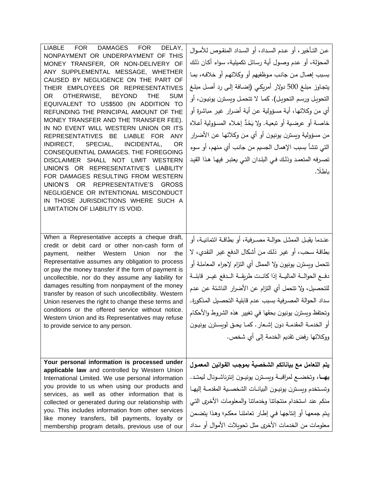| LIABLE FOR DAMAGES FOR<br>DELAY,<br>NONPAYMENT OR UNDERPAYMENT OF THIS<br>MONEY TRANSFER, OR NON-DELIVERY OF<br>ANY SUPPLEMENTAL MESSAGE, WHETHER<br>CAUSED BY NEGLIGENCE ON THE PART OF<br>THEIR EMPLOYEES OR REPRESENTATIVES<br>OTHERWISE,<br><b>BEYOND</b><br>OR.<br><b>THE</b><br><b>SUM</b><br>EQUIVALENT TO US\$500 (IN ADDITION TO<br>REFUNDING THE PRINCIPAL AMOUNT OF THE<br>MONEY TRANSFER AND THE TRANSFER FEE).<br>IN NO EVENT WILL WESTERN UNION OR ITS<br>REPRESENTATIVES BE LIABLE FOR<br>ANY<br>INDIRECT, SPECIAL, INCIDENTAL,<br><b>OR</b><br>CONSEQUENTIAL DAMAGES. THE FOREGOING<br>DISCLAIMER SHALL NOT LIMIT WESTERN<br>UNION'S OR REPRESENTATIVE'S LIABILITY<br>FOR DAMAGES RESULTING FROM WESTERN<br>UNION'S OR REPRESENTATIVE'S<br>GROSS<br>NEGLIGENCE OR INTENTIONAL MISCONDUCT<br>IN THOSE JURISDICTIONS WHERE SUCH A<br>LIMITATION OF LIABILITY IS VOID. | عن التـأخير ، أو عـدم السـداد، أو السـداد المنقـوص للأمـوال<br>المحوّلة، أو عدم وصولٍ أية رسائل تكميلية، سواء أكان ذلك<br>بسبب إهمال من جانب موظفيهم أو وكلائهم أو خلافه، بما<br>يتجاوز مبلغ 500 دولار أمريكي (إضافة إلى رد أصل مبلغ<br>التحويـل ورسم التحويـل). كمـا لا تتحمـل ويسـترن يونيـون، أو<br>أي من وكلائها، أية مسؤولية عن أية أضرار غير مباشرة أو<br>خاصـة أو عرضـية أو تبعيـة. ولا يَحُدُّ إخـلاء المسؤولية أعـلاه<br>من مسؤولية ويسترن يونيون أو أي من وكلائها عن الأضرار<br>التي تتشأ بسبب الإهمال الجسيم من جانب أي منهم، أو سوء<br>تصرفه المتعمد وذلك في البلدان التي يعتبر فيها هذا القيد<br>باطلًا. |
|-------------------------------------------------------------------------------------------------------------------------------------------------------------------------------------------------------------------------------------------------------------------------------------------------------------------------------------------------------------------------------------------------------------------------------------------------------------------------------------------------------------------------------------------------------------------------------------------------------------------------------------------------------------------------------------------------------------------------------------------------------------------------------------------------------------------------------------------------------------------------------------|-----------------------------------------------------------------------------------------------------------------------------------------------------------------------------------------------------------------------------------------------------------------------------------------------------------------------------------------------------------------------------------------------------------------------------------------------------------------------------------------------------------------------------------------------------------------------------------------------------------------------|
| When a Representative accepts a cheque draft,<br>credit or debit card or other non-cash form of<br>payment, neither Western Union<br>nor<br>the<br>Representative assumes any obligation to process<br>or pay the money transfer if the form of payment is<br>uncollectible, nor do they assume any liability for<br>damages resulting from nonpayment of the money<br>transfer by reason of such uncollectibility. Western<br>Union reserves the right to change these terms and<br>conditions or the offered service without notice.<br>Western Union and its Representatives may refuse<br>to provide service to any person.                                                                                                                                                                                                                                                     | عنـدما يقبـل الممثـل حوالــة مصــرفية، أو بطاقــة ائتمانيــة، أو<br>بطاقة سحب، أو غير ذلك من أشكال الدفع غير النقدي، لا<br>تتحمل ويسترن يونيون ولا الممثل أي التزام لإجراء المعاملة أو<br>دفــع الحوالـــة الماليـــة إذا كانــت طريقــة الــدفع غيــر قابلـــة<br>للتحصيل، ولا تتحمل أي التزام عن الأضرار الناشئة عن عدم<br>سداد الحوالة المصرفية بسبب عدم قابلية التحصيل المذكورة.<br>وتحتفظ ويسترن يونيون بحقها في تغيير  هذه الشروط والأحكام<br>أو الخدمــة المقدمــة دون إشــعار . كمــا يـحـق لوبسـترن يونيـون<br>ووكلائها رفض تقديم الخدمة إلى أي شخص.                                                         |
| Your personal information is processed under<br>applicable law and controlled by Western Union<br>International Limited. We use personal information<br>you provide to us when using our products and<br>services, as well as other information that is<br>collected or generated during our relationship with<br>you. This includes information from other services<br>like money transfers, bill payments, loyalty or<br>membership program details, previous use of our                                                                                                                                                                                                                                                                                                                                                                                                          | يتم التعامل مع بياناتكم الشخصية بموجب القوانين المعمول<br>بهـا، وتخضــع لمراقبــة وبسـترن يونيــون إنترناشــونال ليمتــد.<br>وتستخدم وبسترن يونيـون البيانـات الشخصـية المقدمـة إليهـا<br>منكم عند استخدام منتجاتنا وخدماتنا والمعلومات الأخرى التى<br>يتم جمعها أو إنتاجها في إطار تعاملنا معكم؛ وهذا يتضمن<br>معلومات من الخدمات الأخرى مثل تحويلات الأموال أو سداد                                                                                                                                                                                                                                                 |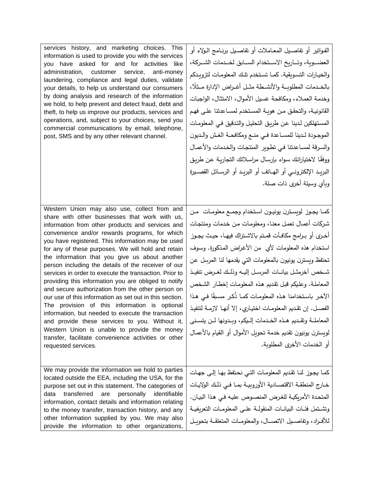services history, and marketing choices. This information is used to provide you with the services you have asked for and for activities like administration, customer service, anti-money laundering, compliance and legal duties, validate your details, to help us understand our consumers by doing analysis and research of the information we hold, to help prevent and detect fraud, debt and theft, to help us improve our products, services and operations, and, subject to your choices, send you commercial communications by email, telephone, post, SMS and by any other relevant channel.

الفواتير أو تفاصيل المعـاملات أو تفاصيل برنـامج الـولاء أو العضنوية، وتناريخ الاستخدام السنابق لخندمات الشنركة، والخيارات التسويقية. كمـا تستخدم تلك المعلومـات لتزويـدكم بالخـدمات المطلوبــة والأنشـطة مثــل أغــراض الإدارة مــثلا، وخدمة العملاء، ومكافحة غسيل الأموال، الامتثال، الواجبات القانونية، والتحقق من هوبة المستخدم لمساعدتنا على فهم المستهلكين لدينا عن طريق التحليل والتدقيق في المعلومات الموجودة لدينا للمساعدة في منـع ومكافحـة الغش والـديون والسرقة لمساعدتنا في تطوير المنتجات والخدمات والأعمال ووفقًا لاختياراتك سواء بإرسال مراسلاتك التجاريـة عن طريق البربـد الإلكترونـي أو الهـاتف أو البربـد أو الرسـائل القصـيرة وبأي وسيلة أخرى ذات صلة.

Western Union may also use, collect from and share with other businesses that work with us, information from other products and services and convenience and/or rewards programs, for which you have registered. This information may be used for any of these purposes. We will hold and retain the information that you give us about another person including the details of the receiver of our services in order to execute the transaction. Prior to providing this information you are obliged to notify and secure authorization from the other person on our use of this information as set out in this section. The provision of this information is optional information, but needed to execute the transaction and provide these services to you. Without it, Western Union is unable to provide the money transfer, facilitate convenience activities or other requested services.

We may provide the information we hold to parties located outside the EEA, including the USA, for the purpose set out in this statement. The categories of data transferred are personally identifiable information, contact details and information relating to the money transfer, transaction history, and any other Information supplied by you. We may also provide the information to other organizations,

كمـا يجـوز لوىسـترن يونيـون اسـتخدام وجمـع معلومـات مـن شركات أعمال تعمل معنا، ومعلومات من خدمات ومنتجات أخرى أو بـرامج مكافـآت قمـتم بالاشـتراك فيهـا، حيـث يجـوز استخدام هذه المعلومات لأي من الأغراض المذكورة. وسوف تحتفظ وبسترن يونيون بالمعلومات التي يقدمها لنا المرسل عن شخص آخرمثل بيانـات المرسـل إليـه وذلـك لغـرض نتفيـذ المعاملة. وعليكم قبل تقديم هذه المعلومات إخطار الشخص الآخر باستخدامنا هذه المعلومـات كمـا ذكـر مسبقًا فـي هذا الفصـل. إن تقديم المعلومـات اختيـاري، إلا أنهـا لازمـة لتتفيـذ المعاملـة وتقـديم هـذه الخـدمات إلـيكم، وبـدونها لـن يتسـني لوبسترن يونيون تقديم خدمة تحوبل الأموال أو القيام بالأعمال أو الخدمات الأخرى المطلوبة.

كما يجوز لنا تقديم المعلومات التي نحتفظ بها إلى جهات خارج المنطقة الاقتصادية الأوروبية بمـا فـي ذلك الولايـات المتحدة الأمربكية للغرض المنصوص عليه في هذا البيان. وتشتمل فئـات البيانــات المنقولــة علــى المعلومــات التعريفيــة للأفـراد، وتفاصـيل الاتصــال، والمعلومــات المتعلقــة بتحوسل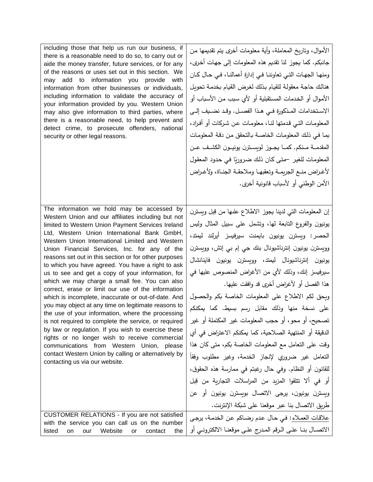| including those that help us run our business, if<br>there is a reasonable need to do so, to carry out or<br>aide the money transfer, future services, or for any<br>of the reasons or uses set out in this section. We<br>may add to information you provide with<br>information from other businesses or individuals,<br>including information to validate the accuracy of<br>your information provided by you. Western Union<br>may also give information to third parties, where<br>there is a reasonable need, to help prevent and<br>detect crime, to prosecute offenders, national<br>security or other legal reasons.<br>The information we hold may be accessed by<br>Western Union and our affiliates including but not<br>limited to Western Union Payment Services Ireland                                                                                                                                                                | الأموال، وتاريخ المعاملة، وأية معلومات أخرى يتم تقديمها من<br>جانبكم. كما يجوز لنا تقديم هذه المعلومات إلى جهات أخرى،<br>ومنهـا الجهـات التـي تعاوننـا فـي إدارة أعمـالنـا، فـي حـال كـان<br>هنالك حاجة معقولة للقيام بذلك لغرض القيام بخدمة تحويل<br>الأموال أو الخدمات المستقبلية أو لأي سبب من الأسباب أو<br>الاستخدامات المـذكورة فـي هـذا الفصـل. وقـد نضـيف إلـي<br>المعلومات التي قدمتها لنـا، معلومـات عن شركات أو أفراد،<br>بما في ذلك المعلومات الخاصة بالتحقق من دقة المعلومات<br>المقدمـــة مــنكم. كمـــا يجــوز لويســترن يونيــون الكشــف عــن<br>المعلومات للغير حمتي كان ذلك ضروريًا في حدود المعقول<br>لأغراض منع الجريمة وتعقبها وملاحقة الجناة، ولأغراض<br>الأمن الوطني أو لأسباب قانونية أخرى.<br>إن المعلومات التي لدينا يجوز الاطلاع علىها من قِبل ويسترن<br>يونيون والفروع التابعة لها، وتشمل على سبيل المثال وليس |
|-------------------------------------------------------------------------------------------------------------------------------------------------------------------------------------------------------------------------------------------------------------------------------------------------------------------------------------------------------------------------------------------------------------------------------------------------------------------------------------------------------------------------------------------------------------------------------------------------------------------------------------------------------------------------------------------------------------------------------------------------------------------------------------------------------------------------------------------------------------------------------------------------------------------------------------------------------|--------------------------------------------------------------------------------------------------------------------------------------------------------------------------------------------------------------------------------------------------------------------------------------------------------------------------------------------------------------------------------------------------------------------------------------------------------------------------------------------------------------------------------------------------------------------------------------------------------------------------------------------------------------------------------------------------------------------------------------------------------------------------------------------------------------------------------------------|
| Ltd, Western Union International Bank GmbH,<br>Western Union International Limited and Western<br>Union Financial Services, Inc. for any of the<br>reasons set out in this section or for other purposes<br>to which you have agreed. You have a right to ask<br>us to see and get a copy of your information, for<br>which we may charge a small fee. You can also<br>correct, erase or limit our use of the information<br>which is incomplete, inaccurate or out-of-date. And<br>you may object at any time on legitimate reasons to<br>the use of your information, where the processing<br>is not required to complete the service, or required<br>by law or regulation. If you wish to exercise these<br>rights or no longer wish to receive commercial<br>communications from Western Union, please<br>contact Western Union by calling or alternatively by<br>contacting us via our website.<br>CUSTOMER RELATIONS - If you are not satisfied | الحصر : ويسترن يونيون بايمنت سيرفيسز أيرلند ليمتد،<br>وويسترن يونيون إنترناشيونال بنك جي إم بي إتش، وويسترن<br>يونيون إنترناشيونال ليمتد، وويسترن يونيون فاينانشال<br>سيرفيسز إنك، وذلك لأي من الأغراض المنصوص عليها في<br>هذا الفصل أو لأغراض أخرى قد وافقت عليها.<br>ويحق لكم الاطلاع على المعلومات الخاصة بكم والحصول<br>على نسخة منها وذلك مقابل رسم بسيط. كما يمكنكم<br>تصحيح، أو محو ، أو حجب المعلومات غير المكتملة أو غير<br>الدقيقة أو المنتهية الصلاحية، كما يمكنكم الاعتراض في أي<br>وقت على التعامل مع المعلومات الخاصة بكم، متى كان هذا<br>التعامل غير ضروري لإنجاز الخدمة، وغير مطلوب وفقاً<br>للقانون أو النظام. وفي حال رغبتم في ممارسة هذه الحقوق،<br>أو في ألا تتلقوا المزيد من المراسلات التجارية من قِبل<br>ويسترن يونيون، يرجى الاتصال بويسترن يونيون أو عن<br>طريق الاتصال بنا عبر موقعنا على شبكة الإنترنت.         |
| with the service you can call us on the number<br>Website<br>listed<br>on<br>our<br>contact<br>the<br>or                                                                                                                                                                                                                                                                                                                                                                                                                                                                                                                                                                                                                                                                                                                                                                                                                                              | علاقات العملاء: في حال عدم رضاكم عن الخدمة، يرجى<br>الاتصــال بنــا علــى الـرقم المـدرج علــى موقعنــا الالكترونــي أو                                                                                                                                                                                                                                                                                                                                                                                                                                                                                                                                                                                                                                                                                                                    |